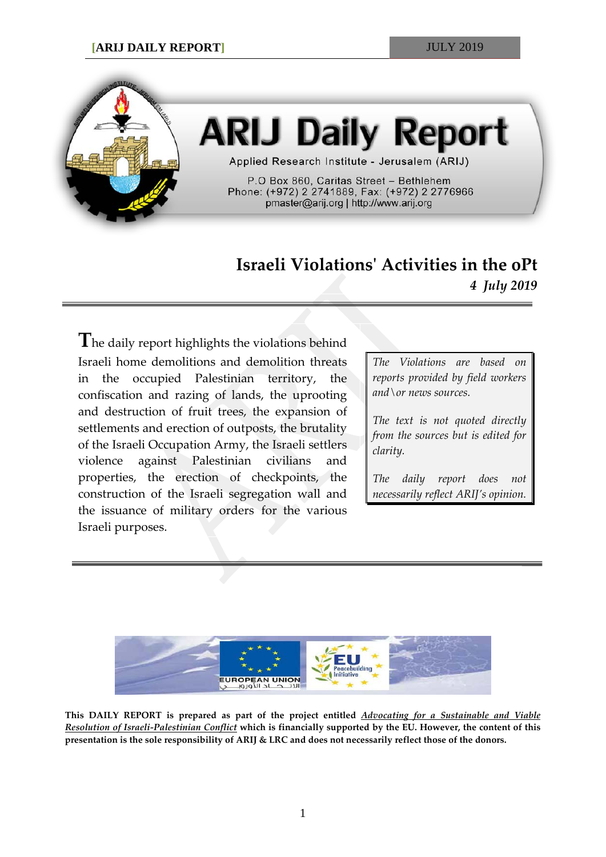

# **ARIJ Daily Report**

Applied Research Institute - Jerusalem (ARIJ)

P.O Box 860, Caritas Street - Bethlehem Phone: (+972) 2 2741889, Fax: (+972) 2 2776966 pmaster@arij.org | http://www.arij.org

## **Israeli Violations' Activities in the oPt** *4 July 2019*

**T**he daily report highlights the violations behind Israeli home demolitions and demolition threats in the occupied Palestinian territory, the confiscation and razing of lands, the uprooting and destruction of fruit trees, the expansion of settlements and erection of outposts, the brutality of the Israeli Occupation Army, the Israeli settlers violence against Palestinian civilians and properties, the erection of checkpoints, the construction of the Israeli segregation wall and the issuance of military orders for the various Israeli purposes.

*The Violations are based on reports provided by field workers and\or news sources.*

*The text is not quoted directly from the sources but is edited for clarity.*

*The daily report does not necessarily reflect ARIJ's opinion.*



**This DAILY REPORT is prepared as part of the project entitled** *Advocating for a Sustainable and Viable Resolution of Israeli-Palestinian Conflict* **which is financially supported by the EU. However, the content of this presentation is the sole responsibility of ARIJ & LRC and does not necessarily reflect those of the donors.**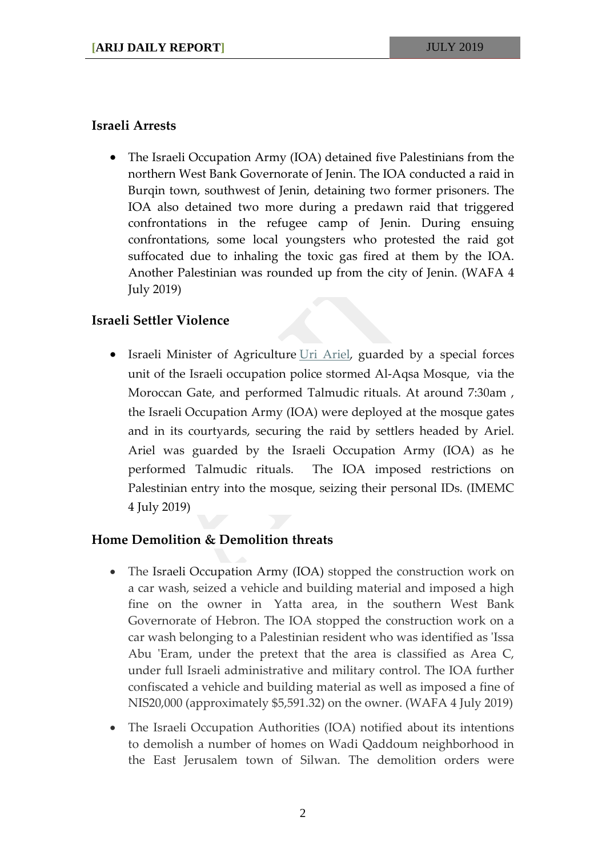#### **Israeli Arrests**

• The Israeli Occupation Army (IOA) detained five Palestinians from the northern West Bank Governorate of Jenin. The IOA conducted a raid in Burqin town, southwest of Jenin, detaining two former prisoners. The IOA also detained two more during a predawn raid that triggered confrontations in the refugee camp of Jenin. During ensuing confrontations, some local youngsters who protested the raid got suffocated due to inhaling the toxic gas fired at them by the IOA. Another Palestinian was rounded up from the city of Jenin. (WAFA 4 July 2019)

### **Israeli Settler Violence**

• Israeli Minister of Agriculture [Uri Ariel,](https://imemc.org/?s=uri+ariel) guarded by a special forces unit of the Israeli occupation police stormed Al-Aqsa Mosque, via the Moroccan Gate, and performed Talmudic rituals. At around 7:30am , the Israeli Occupation Army (IOA) were deployed at the mosque gates and in its courtyards, securing the raid by settlers headed by Ariel. Ariel was guarded by the Israeli Occupation Army (IOA) as he performed Talmudic rituals. The IOA imposed restrictions on Palestinian entry into the mosque, seizing their personal IDs. (IMEMC 4 July 2019)

### **Home Demolition & Demolition threats**

- The Israeli Occupation Army (IOA) stopped the construction work on a car wash, seized a vehicle and building material and imposed a high fine on the owner in Yatta area, in the southern West Bank Governorate of Hebron. The IOA stopped the construction work on a car wash belonging to a Palestinian resident who was identified as 'Issa Abu 'Eram, under the pretext that the area is classified as Area C, under full Israeli administrative and military control. The IOA further confiscated a vehicle and building material as well as imposed a fine of NIS20,000 (approximately \$5,591.32) on the owner. (WAFA 4 July 2019)
- The Israeli Occupation Authorities (IOA) notified about its intentions to demolish a number of homes on Wadi Qaddoum neighborhood in the East Jerusalem town of Silwan. The demolition orders were